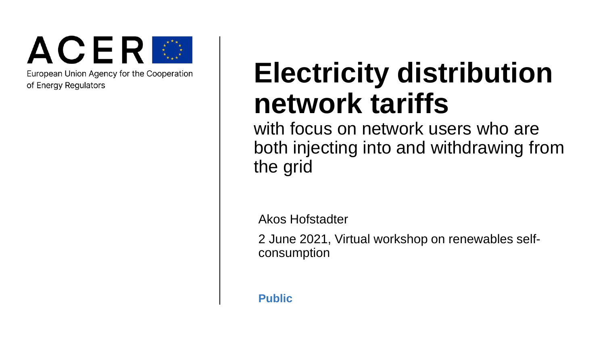

European Union Agency for the Cooperation of Energy Regulators

## **Electricity distribution network tariffs**

with focus on network users who are both injecting into and withdrawing from the grid

Akos Hofstadter

2 June 2021, Virtual workshop on renewables selfconsumption

**Public**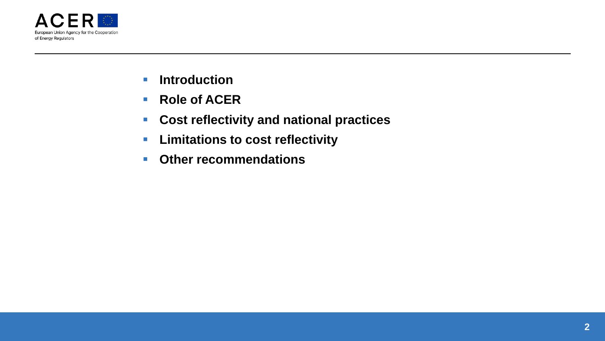

- **F** Introduction
- Role of ACER
- **Cost reflectivity and national practices**
- **Limitations to cost reflectivity**
- **Other recommendations**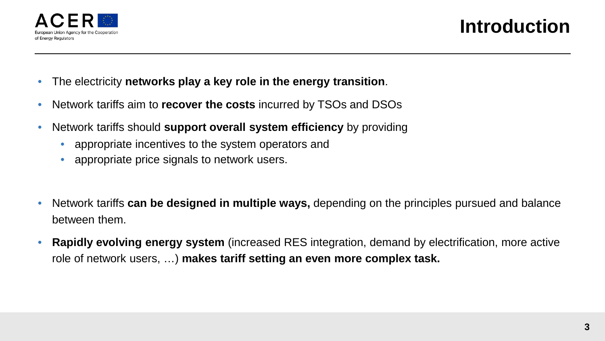

- The electricity **networks play a key role in the energy transition**.
- Network tariffs aim to **recover the costs** incurred by TSOs and DSOs
- Network tariffs should **support overall system efficiency** by providing
	- appropriate incentives to the system operators and
	- appropriate price signals to network users.
- Network tariffs **can be designed in multiple ways,** depending on the principles pursued and balance between them.
- **Rapidly evolving energy system** (increased RES integration, demand by electrification, more active role of network users, …) **makes tariff setting an even more complex task.**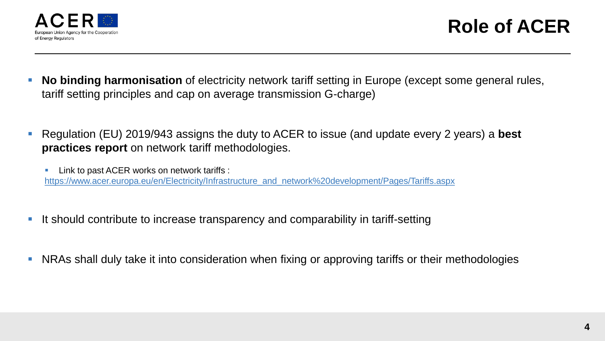

- **No binding harmonisation** of electricity network tariff setting in Europe (except some general rules, tariff setting principles and cap on average transmission G-charge)
- Regulation (EU) 2019/943 assigns the duty to ACER to issue (and update every 2 years) a **best practices report** on network tariff methodologies.
	- **Link to past ACER works on network tariffs :** [https://www.acer.europa.eu/en/Electricity/Infrastructure\\_and\\_network%20development/Pages/Tariffs.aspx](https://www.acer.europa.eu/en/Electricity/Infrastructure_and_network%20development/Pages/Tariffs.aspx)
- It should contribute to increase transparency and comparability in tariff-setting
- **NRAs shall duly take it into consideration when fixing or approving tariffs or their methodologies**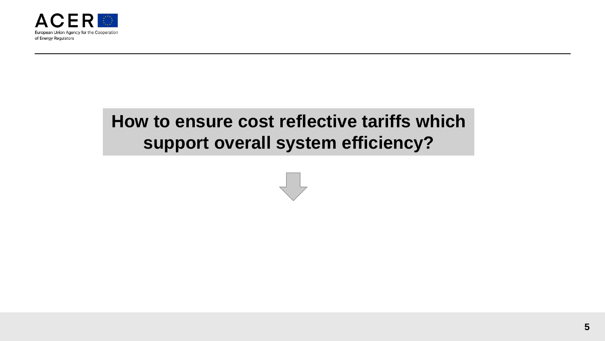

## **How to ensure cost reflective tariffs which support overall system efficiency?**

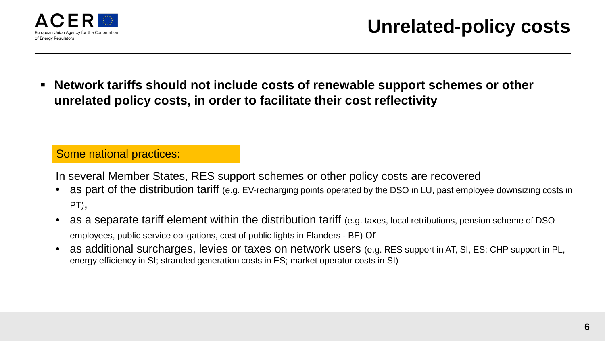

 **Network tariffs should not include costs of renewable support schemes or other unrelated policy costs, in order to facilitate their cost reflectivity**

#### Some national practices:

In several Member States, RES support schemes or other policy costs are recovered

- as part of the distribution tariff (e.g. EV-recharging points operated by the DSO in LU, past employee downsizing costs in PT),
- as a separate tariff element within the distribution tariff (e.g. taxes, local retributions, pension scheme of DSO employees, public service obligations, cost of public lights in Flanders - BE) Of
- as additional surcharges, levies or taxes on network users (e.g. RES support in AT, SI, ES; CHP support in PL, energy efficiency in SI; stranded generation costs in ES; market operator costs in SI)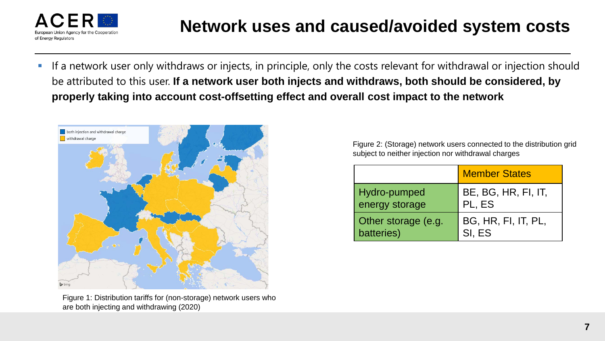

 If a network user only withdraws or injects, in principle, only the costs relevant for withdrawal or injection should be attributed to this user. **If a network user both injects and withdraws, both should be considered, by properly taking into account cost-offsetting effect and overall cost impact to the network**



Figure 1: Distribution tariffs for (non-storage) network users who are both injecting and withdrawing (2020)

Figure 2: (Storage) network users connected to the distribution grid subject to neither injection nor withdrawal charges

|                     | <b>Member States</b> |
|---------------------|----------------------|
| Hydro-pumped        | BE, BG, HR, FI, IT,  |
| energy storage      | PL, ES               |
| Other storage (e.g. | BG, HR, FI, IT, PL,  |
| batteries)          | SI, ES               |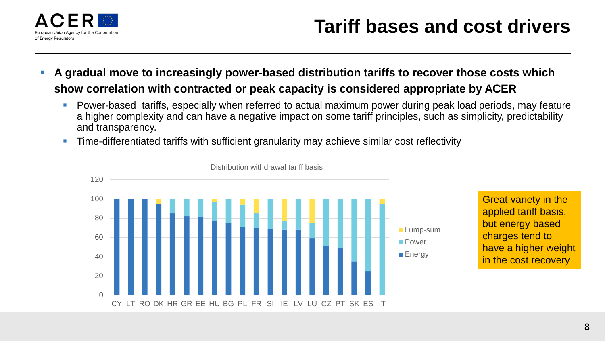

- **A gradual move to increasingly power-based distribution tariffs to recover those costs which show correlation with contracted or peak capacity is considered appropriate by ACER**
	- **Power-based tariffs, especially when referred to actual maximum power during peak load periods, may feature** a higher complexity and can have a negative impact on some tariff principles, such as simplicity, predictability and transparency.
	- Time-differentiated tariffs with sufficient granularity may achieve similar cost reflectivity



Distribution withdrawal tariff basis

Great variety in the applied tariff basis, but energy based charges tend to have a higher weight in the cost recovery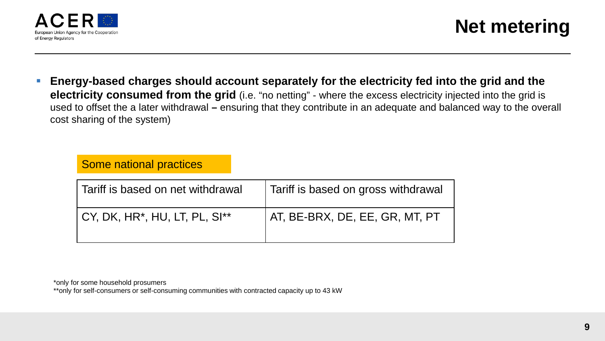

**Energy-based charges should account separately for the electricity fed into the grid and the electricity consumed from the grid** (i.e. "no netting" - where the excess electricity injected into the grid is used to offset the a later withdrawal **–** ensuring that they contribute in an adequate and balanced way to the overall cost sharing of the system)

#### Some national practices

| Tariff is based on net withdrawal | Tariff is based on gross withdrawal |
|-----------------------------------|-------------------------------------|
| CY, DK, HR*, HU, LT, PL, SI**     | AT, BE-BRX, DE, EE, GR, MT, PT      |

\*only for some household prosumers

\*\*only for self-consumers or self-consuming communities with contracted capacity up to 43 kW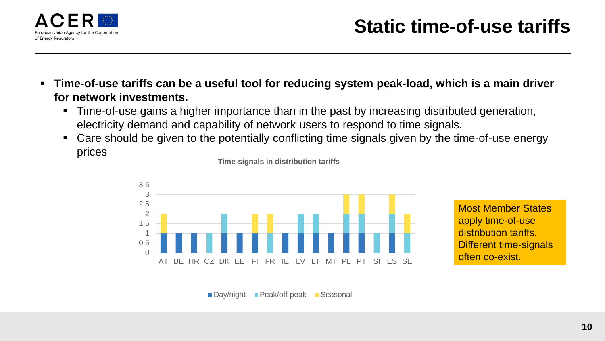

- **Time-of-use tariffs can be a useful tool for reducing system peak-load, which is a main driver for network investments.** 
	- Time-of-use gains a higher importance than in the past by increasing distributed generation, electricity demand and capability of network users to respond to time signals.
	- Care should be given to the potentially conflicting time signals given by the time-of-use energy prices



Most Member States apply time-of-use distribution tariffs. Different time-signals often co-exist.



**Time-signals in distribution tariffs**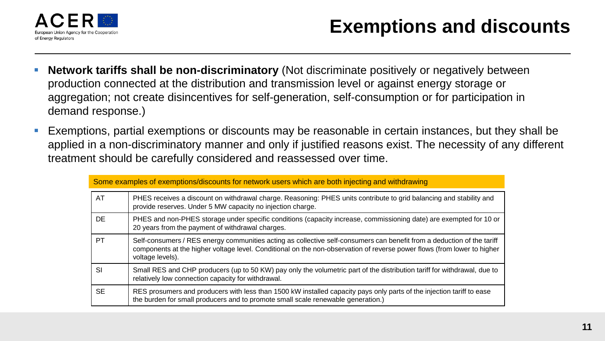

- **Network tariffs shall be non-discriminatory** (Not discriminate positively or negatively between production connected at the distribution and transmission level or against energy storage or aggregation; not create disincentives for self-generation, self-consumption or for participation in demand response.)
- Exemptions, partial exemptions or discounts may be reasonable in certain instances, but they shall be applied in a non-discriminatory manner and only if justified reasons exist. The necessity of any different treatment should be carefully considered and reassessed over time.

| Some examples of exemptions/discounts for network users which are both injecting and withdrawing |                                                                                                                                                                                                                                                                       |
|--------------------------------------------------------------------------------------------------|-----------------------------------------------------------------------------------------------------------------------------------------------------------------------------------------------------------------------------------------------------------------------|
| <b>AT</b>                                                                                        | PHES receives a discount on withdrawal charge. Reasoning: PHES units contribute to grid balancing and stability and<br>provide reserves. Under 5 MW capacity no injection charge.                                                                                     |
| DE.                                                                                              | PHES and non-PHES storage under specific conditions (capacity increase, commissioning date) are exempted for 10 or<br>20 years from the payment of withdrawal charges.                                                                                                |
| <b>PT</b>                                                                                        | Self-consumers / RES energy communities acting as collective self-consumers can benefit from a deduction of the tariff<br>components at the higher voltage level. Conditional on the non-observation of reverse power flows (from lower to higher<br>voltage levels). |
| SI                                                                                               | Small RES and CHP producers (up to 50 KW) pay only the volumetric part of the distribution tariff for withdrawal, due to<br>relatively low connection capacity for withdrawal.                                                                                        |
| <b>SE</b>                                                                                        | RES prosumers and producers with less than 1500 kW installed capacity pays only parts of the injection tariff to ease<br>the burden for small producers and to promote small scale renewable generation.)                                                             |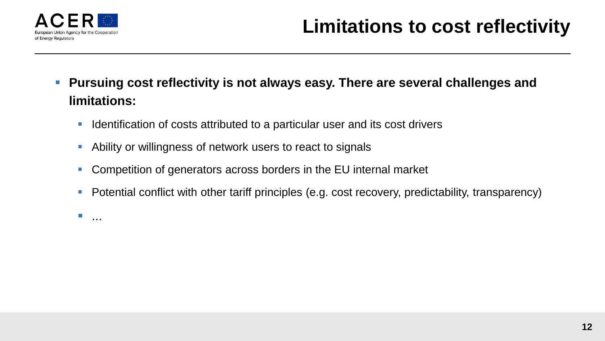

- **Pursuing cost reflectivity is not always easy. There are several challenges and limitations:**
	- **IDENT** Identification of costs attributed to a particular user and its cost drivers
	- Ability or willingness of network users to react to signals
	- Competition of generators across borders in the EU internal market
	- **•** Potential conflict with other tariff principles (e.g. cost recovery, predictability, transparency)
	- ...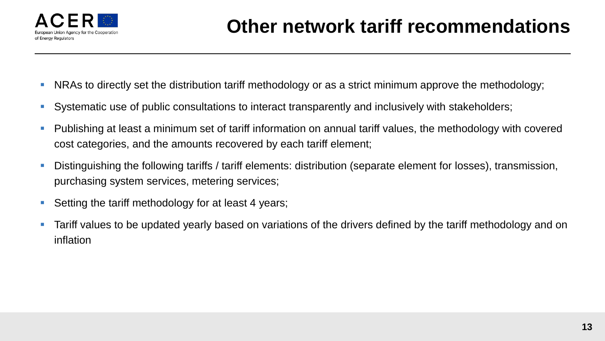

- NRAs to directly set the distribution tariff methodology or as a strict minimum approve the methodology;
- Systematic use of public consultations to interact transparently and inclusively with stakeholders;
- Publishing at least a minimum set of tariff information on annual tariff values, the methodology with covered cost categories, and the amounts recovered by each tariff element;
- Distinguishing the following tariffs / tariff elements: distribution (separate element for losses), transmission, purchasing system services, metering services;
- Setting the tariff methodology for at least 4 years;
- Tariff values to be updated yearly based on variations of the drivers defined by the tariff methodology and on inflation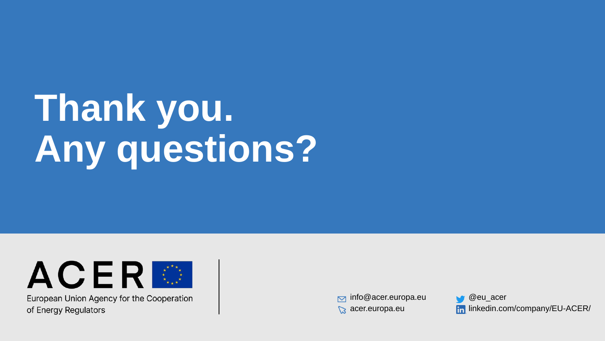# **Thank you. Any questions?**



European Union Agency for the Cooperation of Energy Regulators

 $\triangleright$  info@acer.europa.eu acer.europa.eu

@eu\_acer **In linkedin.com/company/EU-ACER/**